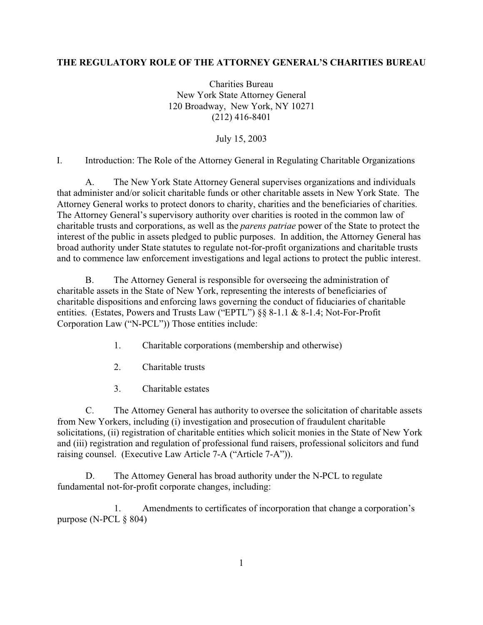## **THE REGULATORY ROLE OF THE ATTORNEY GENERAL'S CHARITIES BUREAU**

Charities Bureau New York State Attorney General 120 Broadway, New York, NY 10271 (212) 416-8401

July 15, 2003

I. Introduction: The Role of the Attorney General in Regulating Charitable Organizations

A. The New York State Attorney General supervises organizations and individuals that administer and/or solicit charitable funds or other charitable assets in New York State. The Attorney General works to protect donors to charity, charities and the beneficiaries of charities. The Attorney General's supervisory authority over charities is rooted in the common law of charitable trusts and corporations, as well as the *parens patriae* power of the State to protect the interest of the public in assets pledged to public purposes. In addition, the Attorney General has broad authority under State statutes to regulate not-for-profit organizations and charitable trusts and to commence law enforcement investigations and legal actions to protect the public interest.

B. The Attorney General is responsible for overseeing the administration of charitable assets in the State of New York, representing the interests of beneficiaries of charitable dispositions and enforcing laws governing the conduct of fiduciaries of charitable entities. (Estates, Powers and Trusts Law ("EPTL") §§ 8-1.1 & 8-1.4; Not-For-Profit Corporation Law ("N-PCL")) Those entities include:

- 1. Charitable corporations (membership and otherwise)
- 2. Charitable trusts
- 3. Charitable estates

C. The Attorney General has authority to oversee the solicitation of charitable assets from New Yorkers, including (i) investigation and prosecution of fraudulent charitable solicitations, (ii) registration of charitable entities which solicit monies in the State of New York and (iii) registration and regulation of professional fund raisers, professional solicitors and fund raising counsel. (Executive Law Article 7-A ("Article 7-A")).

D. The Attorney General has broad authority under the N-PCL to regulate fundamental not-for-profit corporate changes, including:

1. Amendments to certificates of incorporation that change a corporation's purpose (N-PCL § 804)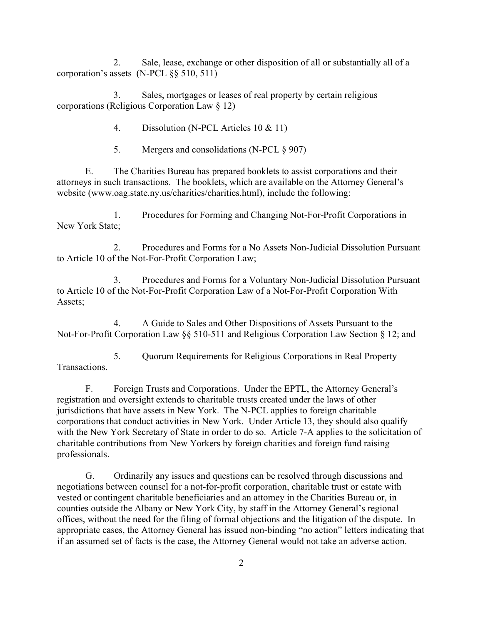2. Sale, lease, exchange or other disposition of all or substantially all of a corporation's assets (N-PCL §§ 510, 511)

3. Sales, mortgages or leases of real property by certain religious corporations (Religious Corporation Law § 12)

4. Dissolution (N-PCL Articles 10 & 11)

5. Mergers and consolidations (N-PCL § 907)

E. The Charities Bureau has prepared booklets to assist corporations and their attorneys in such transactions. The booklets, which are available on the Attorney General's website (www.oag.state.ny.us/charities/charities.html), include the following:

1. Procedures for Forming and Changing Not-For-Profit Corporations in New York State;

2. Procedures and Forms for a No Assets Non-Judicial Dissolution Pursuant to Article 10 of the Not-For-Profit Corporation Law;

3. Procedures and Forms for a Voluntary Non-Judicial Dissolution Pursuant to Article 10 of the Not-For-Profit Corporation Law of a Not-For-Profit Corporation With Assets;

4. A Guide to Sales and Other Dispositions of Assets Pursuant to the Not-For-Profit Corporation Law §§ 510-511 and Religious Corporation Law Section § 12; and

5. Quorum Requirements for Religious Corporations in Real Property Transactions.

F. Foreign Trusts and Corporations. Under the EPTL, the Attorney General's registration and oversight extends to charitable trusts created under the laws of other jurisdictions that have assets in New York. The N-PCL applies to foreign charitable corporations that conduct activities in New York. Under Article 13, they should also qualify with the New York Secretary of State in order to do so. Article 7-A applies to the solicitation of charitable contributions from New Yorkers by foreign charities and foreign fund raising professionals.

G. Ordinarily any issues and questions can be resolved through discussions and negotiations between counsel for a not-for-profit corporation, charitable trust or estate with vested or contingent charitable beneficiaries and an attorney in the Charities Bureau or, in counties outside the Albany or New York City, by staff in the Attorney General's regional offices, without the need for the filing of formal objections and the litigation of the dispute. In appropriate cases, the Attorney General has issued non-binding "no action" letters indicating that if an assumed set of facts is the case, the Attorney General would not take an adverse action.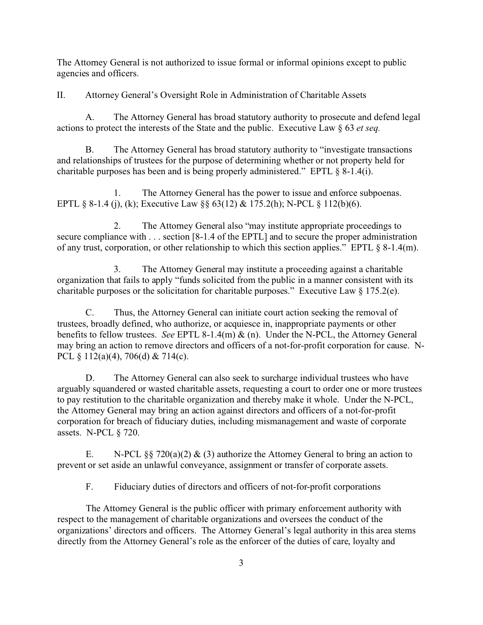The Attorney General is not authorized to issue formal or informal opinions except to public agencies and officers.

II. Attorney General's Oversight Role in Administration of Charitable Assets

A. The Attorney General has broad statutory authority to prosecute and defend legal actions to protect the interests of the State and the public. Executive Law § 63 *et seq.*

B. The Attorney General has broad statutory authority to "investigate transactions and relationships of trustees for the purpose of determining whether or not property held for charitable purposes has been and is being properly administered." EPTL § 8-1.4(i).

1. The Attorney General has the power to issue and enforce subpoenas. EPTL § 8-1.4 (j), (k); Executive Law §§ 63(12) & 175.2(h); N-PCL § 112(b)(6).

2. The Attorney General also "may institute appropriate proceedings to secure compliance with . . . section [8-1.4 of the EPTL] and to secure the proper administration of any trust, corporation, or other relationship to which this section applies." EPTL § 8-1.4(m).

3. The Attorney General may institute a proceeding against a charitable organization that fails to apply "funds solicited from the public in a manner consistent with its charitable purposes or the solicitation for charitable purposes." Executive Law § 175.2(e).

C. Thus, the Attorney General can initiate court action seeking the removal of trustees, broadly defined, who authorize, or acquiesce in, inappropriate payments or other benefits to fellow trustees. *See* EPTL 8-1.4(m) & (n). Under the N-PCL, the Attorney General may bring an action to remove directors and officers of a not-for-profit corporation for cause. N-PCL § 112(a)(4), 706(d) & 714(c).

D. The Attorney General can also seek to surcharge individual trustees who have arguably squandered or wasted charitable assets, requesting a court to order one or more trustees to pay restitution to the charitable organization and thereby make it whole. Under the N-PCL, the Attorney General may bring an action against directors and officers of a not-for-profit corporation for breach of fiduciary duties, including mismanagement and waste of corporate assets. N-PCL § 720.

E. N-PCL §§ 720(a)(2) & (3) authorize the Attorney General to bring an action to prevent or set aside an unlawful conveyance, assignment or transfer of corporate assets.

F. Fiduciary duties of directors and officers of not-for-profit corporations

The Attorney General is the public officer with primary enforcement authority with respect to the management of charitable organizations and oversees the conduct of the organizations' directors and officers. The Attorney General's legal authority in this area stems directly from the Attorney General's role as the enforcer of the duties of care, loyalty and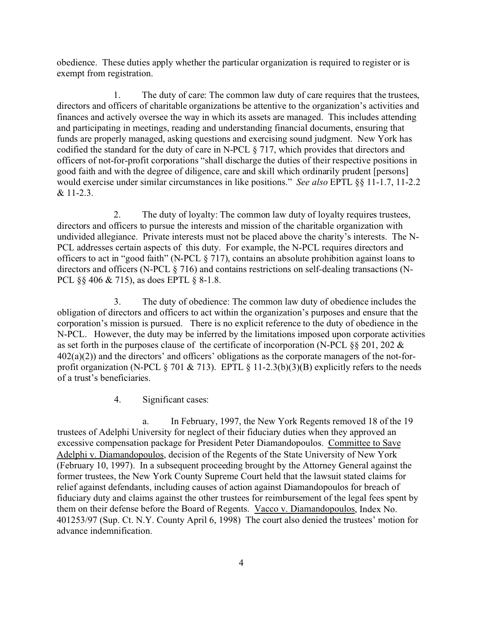obedience. These duties apply whether the particular organization is required to register or is exempt from registration.

1. The duty of care: The common law duty of care requires that the trustees, directors and officers of charitable organizations be attentive to the organization's activities and finances and actively oversee the way in which its assets are managed. This includes attending and participating in meetings, reading and understanding financial documents, ensuring that funds are properly managed, asking questions and exercising sound judgment. New York has codified the standard for the duty of care in N-PCL § 717, which provides that directors and officers of not-for-profit corporations "shall discharge the duties of their respective positions in good faith and with the degree of diligence, care and skill which ordinarily prudent [persons] would exercise under similar circumstances in like positions." *See also* EPTL §§ 11-1.7, 11-2.2 & 11-2.3.

2. The duty of loyalty: The common law duty of loyalty requires trustees, directors and officers to pursue the interests and mission of the charitable organization with undivided allegiance. Private interests must not be placed above the charity's interests. The N-PCL addresses certain aspects of this duty. For example, the N-PCL requires directors and officers to act in "good faith" (N-PCL § 717), contains an absolute prohibition against loans to directors and officers (N-PCL § 716) and contains restrictions on self-dealing transactions (N-PCL §§ 406 & 715), as does EPTL § 8-1.8.

3. The duty of obedience: The common law duty of obedience includes the obligation of directors and officers to act within the organization's purposes and ensure that the corporation's mission is pursued. There is no explicit reference to the duty of obedience in the N-PCL. However, the duty may be inferred by the limitations imposed upon corporate activities as set forth in the purposes clause of the certificate of incorporation (N-PCL §§ 201, 202 &  $402(a)(2)$ ) and the directors' and officers' obligations as the corporate managers of the not-forprofit organization (N-PCL  $\S 701 \& 713$ ). EPTL  $\S 11-2.3(b)(3)(B)$  explicitly refers to the needs of a trust's beneficiaries.

4. Significant cases:

a. In February, 1997, the New York Regents removed 18 of the 19 trustees of Adelphi University for neglect of their fiduciary duties when they approved an excessive compensation package for President Peter Diamandopoulos. Committee to Save Adelphi v. Diamandopoulos, decision of the Regents of the State University of New York (February 10, 1997). In a subsequent proceeding brought by the Attorney General against the former trustees, the New York County Supreme Court held that the lawsuit stated claims for relief against defendants, including causes of action against Diamandopoulos for breach of fiduciary duty and claims against the other trustees for reimbursement of the legal fees spent by them on their defense before the Board of Regents. Vacco v. Diamandopoulos, Index No. 401253/97 (Sup. Ct. N.Y. County April 6, 1998) The court also denied the trustees' motion for advance indemnification.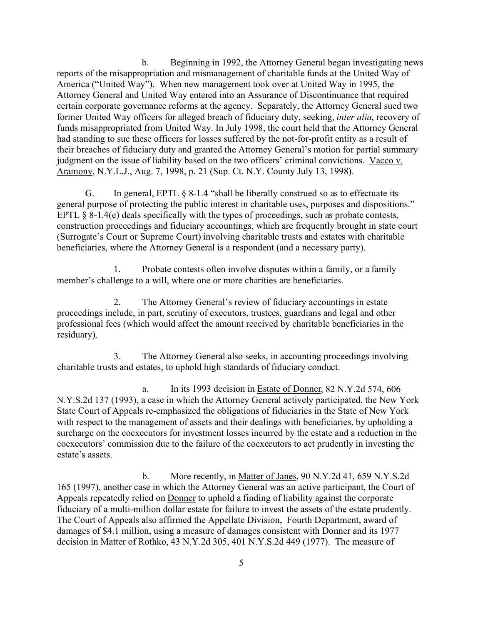b. Beginning in 1992, the Attorney General began investigating news reports of the misappropriation and mismanagement of charitable funds at the United Way of America ("United Way"). When new management took over at United Way in 1995, the Attorney General and United Way entered into an Assurance of Discontinuance that required certain corporate governance reforms at the agency. Separately, the Attorney General sued two former United Way officers for alleged breach of fiduciary duty, seeking, *inter alia*, recovery of funds misappropriated from United Way. In July 1998, the court held that the Attorney General had standing to sue these officers for losses suffered by the not-for-profit entity as a result of their breaches of fiduciary duty and granted the Attorney General's motion for partial summary judgment on the issue of liability based on the two officers' criminal convictions. Vacco v. Aramony, N.Y.L.J., Aug. 7, 1998, p. 21 (Sup. Ct. N.Y. County July 13, 1998).

G. In general, EPTL  $\S$  8-1.4 "shall be liberally construed so as to effectuate its general purpose of protecting the public interest in charitable uses, purposes and dispositions." EPTL § 8-1.4(e) deals specifically with the types of proceedings, such as probate contests, construction proceedings and fiduciary accountings, which are frequently brought in state court (Surrogate's Court or Supreme Court) involving charitable trusts and estates with charitable beneficiaries, where the Attorney General is a respondent (and a necessary party).

1. Probate contests often involve disputes within a family, or a family member's challenge to a will, where one or more charities are beneficiaries.

2. The Attorney General's review of fiduciary accountings in estate proceedings include, in part, scrutiny of executors, trustees, guardians and legal and other professional fees (which would affect the amount received by charitable beneficiaries in the residuary).

3. The Attorney General also seeks, in accounting proceedings involving charitable trusts and estates, to uphold high standards of fiduciary conduct.

a. In its 1993 decision in Estate of Donner, 82 N.Y.2d 574, 606 N.Y.S.2d 137 (1993), a case in which the Attorney General actively participated, the New York State Court of Appeals re-emphasized the obligations of fiduciaries in the State of New York with respect to the management of assets and their dealings with beneficiaries, by upholding a surcharge on the coexecutors for investment losses incurred by the estate and a reduction in the coexecutors' commission due to the failure of the coexecutors to act prudently in investing the estate's assets.

b. More recently, in Matter of Janes, 90 N.Y.2d 41, 659 N.Y.S.2d 165 (1997), another case in which the Attorney General was an active participant, the Court of Appeals repeatedly relied on Donner to uphold a finding of liability against the corporate fiduciary of a multi-million dollar estate for failure to invest the assets of the estate prudently. The Court of Appeals also affirmed the Appellate Division, Fourth Department, award of damages of \$4.1 million, using a measure of damages consistent with Donner and its 1977 decision in Matter of Rothko, 43 N.Y.2d 305, 401 N.Y.S.2d 449 (1977). The measure of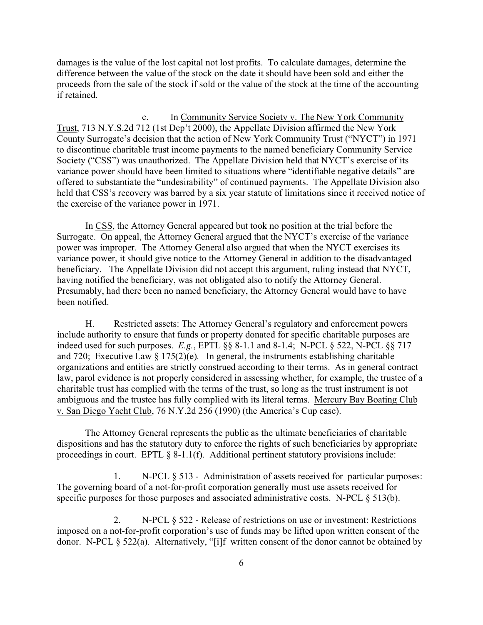damages is the value of the lost capital not lost profits. To calculate damages, determine the difference between the value of the stock on the date it should have been sold and either the proceeds from the sale of the stock if sold or the value of the stock at the time of the accounting if retained.

c. In Community Service Society v. The New York Community Trust, 713 N.Y.S.2d 712 (1st Dep't 2000), the Appellate Division affirmed the New York County Surrogate's decision that the action of New York Community Trust ("NYCT") in 1971 to discontinue charitable trust income payments to the named beneficiary Community Service Society ("CSS") was unauthorized. The Appellate Division held that NYCT's exercise of its variance power should have been limited to situations where "identifiable negative details" are offered to substantiate the "undesirability" of continued payments. The Appellate Division also held that CSS's recovery was barred by a six year statute of limitations since it received notice of the exercise of the variance power in 1971.

In CSS, the Attorney General appeared but took no position at the trial before the Surrogate. On appeal, the Attorney General argued that the NYCT's exercise of the variance power was improper. The Attorney General also argued that when the NYCT exercises its variance power, it should give notice to the Attorney General in addition to the disadvantaged beneficiary. The Appellate Division did not accept this argument, ruling instead that NYCT, having notified the beneficiary, was not obligated also to notify the Attorney General. Presumably, had there been no named beneficiary, the Attorney General would have to have been notified.

H. Restricted assets: The Attorney General's regulatory and enforcement powers include authority to ensure that funds or property donated for specific charitable purposes are indeed used for such purposes. *E.g.*, EPTL §§ 8-1.1 and 8-1.4; N-PCL § 522, N-PCL §§ 717 and 720; Executive Law  $\S 175(2)(e)$ . In general, the instruments establishing charitable organizations and entities are strictly construed according to their terms. As in general contract law, parol evidence is not properly considered in assessing whether, for example, the trustee of a charitable trust has complied with the terms of the trust, so long as the trust instrument is not ambiguous and the trustee has fully complied with its literal terms. Mercury Bay Boating Club v. San Diego Yacht Club, 76 N.Y.2d 256 (1990) (the America's Cup case).

The Attorney General represents the public as the ultimate beneficiaries of charitable dispositions and has the statutory duty to enforce the rights of such beneficiaries by appropriate proceedings in court. EPTL § 8-1.1(f). Additional pertinent statutory provisions include:

1. N-PCL § 513 - Administration of assets received for particular purposes: The governing board of a not-for-profit corporation generally must use assets received for specific purposes for those purposes and associated administrative costs. N-PCL § 513(b).

2. N-PCL § 522 - Release of restrictions on use or investment: Restrictions imposed on a not-for-profit corporation's use of funds may be lifted upon written consent of the donor. N-PCL § 522(a). Alternatively, "[i]f written consent of the donor cannot be obtained by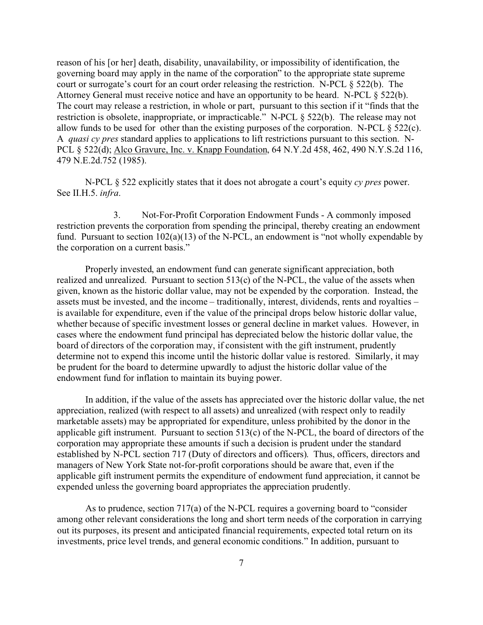reason of his [or her] death, disability, unavailability, or impossibility of identification, the governing board may apply in the name of the corporation" to the appropriate state supreme court or surrogate's court for an court order releasing the restriction. N-PCL § 522(b). The Attorney General must receive notice and have an opportunity to be heard. N-PCL § 522(b). The court may release a restriction, in whole or part, pursuant to this section if it "finds that the restriction is obsolete, inappropriate, or impracticable." N-PCL § 522(b). The release may not allow funds to be used for other than the existing purposes of the corporation. N-PCL  $\S$  522(c). A *quasi cy pres* standard applies to applications to lift restrictions pursuant to this section. N-PCL § 522(d); Alco Gravure, Inc. v. Knapp Foundation, 64 N.Y.2d 458, 462, 490 N.Y.S.2d 116, 479 N.E.2d.752 (1985).

N-PCL § 522 explicitly states that it does not abrogate a court's equity *cy pres* power. See II.H.5. *infra*.

3. Not-For-Profit Corporation Endowment Funds - A commonly imposed restriction prevents the corporation from spending the principal, thereby creating an endowment fund. Pursuant to section  $102(a)(13)$  of the N-PCL, an endowment is "not wholly expendable by the corporation on a current basis."

Properly invested, an endowment fund can generate significant appreciation, both realized and unrealized. Pursuant to section 513(c) of the N-PCL, the value of the assets when given, known as the historic dollar value, may not be expended by the corporation. Instead, the assets must be invested, and the income – traditionally, interest, dividends, rents and royalties – is available for expenditure, even if the value of the principal drops below historic dollar value, whether because of specific investment losses or general decline in market values. However, in cases where the endowment fund principal has depreciated below the historic dollar value, the board of directors of the corporation may, if consistent with the gift instrument, prudently determine not to expend this income until the historic dollar value is restored. Similarly, it may be prudent for the board to determine upwardly to adjust the historic dollar value of the endowment fund for inflation to maintain its buying power.

In addition, if the value of the assets has appreciated over the historic dollar value, the net appreciation, realized (with respect to all assets) and unrealized (with respect only to readily marketable assets) may be appropriated for expenditure, unless prohibited by the donor in the applicable gift instrument. Pursuant to section 513(c) of the N-PCL, the board of directors of the corporation may appropriate these amounts if such a decision is prudent under the standard established by N-PCL section 717 (Duty of directors and officers). Thus, officers, directors and managers of New York State not-for-profit corporations should be aware that, even if the applicable gift instrument permits the expenditure of endowment fund appreciation, it cannot be expended unless the governing board appropriates the appreciation prudently.

As to prudence, section 717(a) of the N-PCL requires a governing board to "consider among other relevant considerations the long and short term needs of the corporation in carrying out its purposes, its present and anticipated financial requirements, expected total return on its investments, price level trends, and general economic conditions." In addition, pursuant to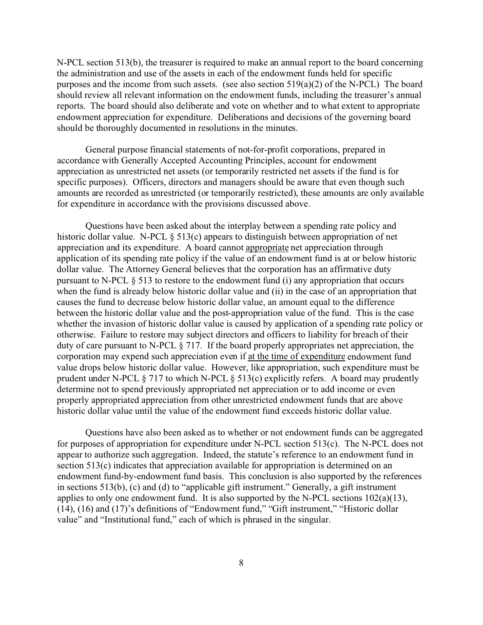N-PCL section 513(b), the treasurer is required to make an annual report to the board concerning the administration and use of the assets in each of the endowment funds held for specific purposes and the income from such assets. (see also section  $519(a)(2)$  of the N-PCL) The board should review all relevant information on the endowment funds, including the treasurer's annual reports. The board should also deliberate and vote on whether and to what extent to appropriate endowment appreciation for expenditure. Deliberations and decisions of the governing board should be thoroughly documented in resolutions in the minutes.

General purpose financial statements of not-for-profit corporations, prepared in accordance with Generally Accepted Accounting Principles, account for endowment appreciation as unrestricted net assets (or temporarily restricted net assets if the fund is for specific purposes). Officers, directors and managers should be aware that even though such amounts are recorded as unrestricted (or temporarily restricted), these amounts are only available for expenditure in accordance with the provisions discussed above.

Questions have been asked about the interplay between a spending rate policy and historic dollar value. N-PCL § 513(c) appears to distinguish between appropriation of net appreciation and its expenditure. A board cannot appropriate net appreciation through application of its spending rate policy if the value of an endowment fund is at or below historic dollar value. The Attorney General believes that the corporation has an affirmative duty pursuant to N-PCL § 513 to restore to the endowment fund (i) any appropriation that occurs when the fund is already below historic dollar value and (ii) in the case of an appropriation that causes the fund to decrease below historic dollar value, an amount equal to the difference between the historic dollar value and the post-appropriation value of the fund. This is the case whether the invasion of historic dollar value is caused by application of a spending rate policy or otherwise. Failure to restore may subject directors and officers to liability for breach of their duty of care pursuant to N-PCL § 717. If the board properly appropriates net appreciation, the corporation may expend such appreciation even if at the time of expenditure endowment fund value drops below historic dollar value. However, like appropriation, such expenditure must be prudent under N-PCL  $\S 717$  to which N-PCL  $\S 513(c)$  explicitly refers. A board may prudently determine not to spend previously appropriated net appreciation or to add income or even properly appropriated appreciation from other unrestricted endowment funds that are above historic dollar value until the value of the endowment fund exceeds historic dollar value.

Questions have also been asked as to whether or not endowment funds can be aggregated for purposes of appropriation for expenditure under N-PCL section 513(c). The N-PCL does not appear to authorize such aggregation. Indeed, the statute's reference to an endowment fund in section 513(c) indicates that appreciation available for appropriation is determined on an endowment fund-by-endowment fund basis. This conclusion is also supported by the references in sections 513(b), (c) and (d) to "applicable gift instrument." Generally, a gift instrument applies to only one endowment fund. It is also supported by the N-PCL sections 102(a)(13), (14), (16) and (17)'s definitions of "Endowment fund," "Gift instrument," "Historic dollar value" and "Institutional fund," each of which is phrased in the singular.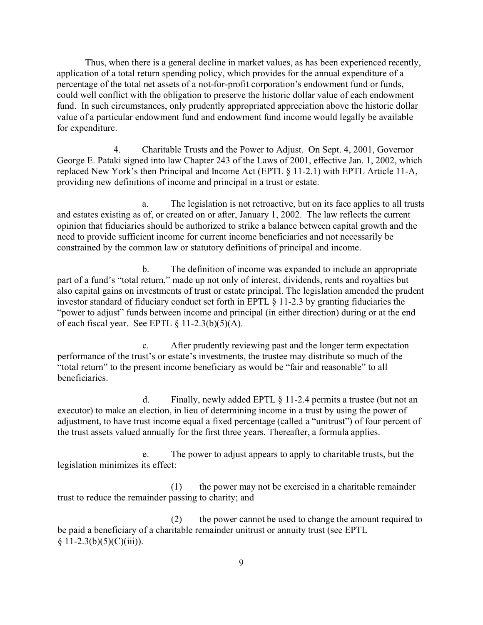Thus, when there is a general decline in market values, as has been experienced recently, application of a total return spending policy, which provides for the annual expenditure of a percentage of the total net assets of a not-for-profit corporation's endowment fund or funds, could well conflict with the obligation to preserve the historic dollar value of each endowment fund. In such circumstances, only prudently appropriated appreciation above the historic dollar value of a particular endowment fund and endowment fund income would legally be available for expenditure.

4. Charitable Trusts and the Power to Adjust. On Sept. 4, 2001, Governor George E. Pataki signed into law Chapter 243 of the Laws of 2001, effective Jan. 1, 2002, which replaced New York's then Principal and Income Act (EPTL § 11-2.1) with EPTL Article 11-A, providing new definitions of income and principal in a trust or estate.

a. The legislation is not retroactive, but on its face applies to all trusts and estates existing as of, or created on or after, January 1, 2002. The law reflects the current opinion that fiduciaries should be authorized to strike a balance between capital growth and the need to provide sufficient income for current income beneficiaries and not necessarily be constrained by the common law or statutory definitions of principal and income.

b. The definition of income was expanded to include an appropriate part of a fund's "total return," made up not only of interest, dividends, rents and royalties but also capital gains on investments of trust or estate principal. The legislation amended the prudent investor standard of fiduciary conduct set forth in EPTL § 11-2.3 by granting fiduciaries the "power to adjust" funds between income and principal (in either direction) during or at the end of each fiscal year. See EPTL  $\S 11-2.3(b)(5)(A)$ .

c. After prudently reviewing past and the longer term expectation performance of the trust's or estate's investments, the trustee may distribute so much of the "total return" to the present income beneficiary as would be "fair and reasonable" to all beneficiaries.

d. Finally, newly added EPTL § 11-2.4 permits a trustee (but not an executor) to make an election, in lieu of determining income in a trust by using the power of adjustment, to have trust income equal a fixed percentage (called a "unitrust") of four percent of the trust assets valued annually for the first three years. Thereafter, a formula applies.

e. The power to adjust appears to apply to charitable trusts, but the legislation minimizes its effect:

(1) the power may not be exercised in a charitable remainder trust to reduce the remainder passing to charity; and

(2) the power cannot be used to change the amount required to be paid a beneficiary of a charitable remainder unitrust or annuity trust (see EPTL  $§ 11-2.3(b)(5)(C)(iii)).$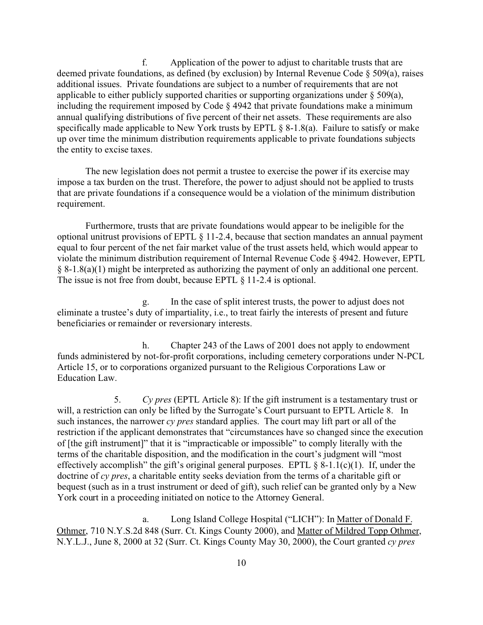f. Application of the power to adjust to charitable trusts that are deemed private foundations, as defined (by exclusion) by Internal Revenue Code § 509(a), raises additional issues. Private foundations are subject to a number of requirements that are not applicable to either publicly supported charities or supporting organizations under § 509(a), including the requirement imposed by Code § 4942 that private foundations make a minimum annual qualifying distributions of five percent of their net assets. These requirements are also specifically made applicable to New York trusts by EPTL § 8-1.8(a). Failure to satisfy or make up over time the minimum distribution requirements applicable to private foundations subjects the entity to excise taxes.

The new legislation does not permit a trustee to exercise the power if its exercise may impose a tax burden on the trust. Therefore, the power to adjust should not be applied to trusts that are private foundations if a consequence would be a violation of the minimum distribution requirement.

Furthermore, trusts that are private foundations would appear to be ineligible for the optional unitrust provisions of EPTL § 11-2.4, because that section mandates an annual payment equal to four percent of the net fair market value of the trust assets held, which would appear to violate the minimum distribution requirement of Internal Revenue Code § 4942. However, EPTL § 8-1.8(a)(1) might be interpreted as authorizing the payment of only an additional one percent. The issue is not free from doubt, because EPTL § 11-2.4 is optional.

g. In the case of split interest trusts, the power to adjust does not eliminate a trustee's duty of impartiality, i.e., to treat fairly the interests of present and future beneficiaries or remainder or reversionary interests.

h. Chapter 243 of the Laws of 2001 does not apply to endowment funds administered by not-for-profit corporations, including cemetery corporations under N-PCL Article 15, or to corporations organized pursuant to the Religious Corporations Law or Education Law.

5. *Cy pres* (EPTL Article 8): If the gift instrument is a testamentary trust or will, a restriction can only be lifted by the Surrogate's Court pursuant to EPTL Article 8. In such instances, the narrower *cy pres* standard applies. The court may lift part or all of the restriction if the applicant demonstrates that "circumstances have so changed since the execution of [the gift instrument]" that it is "impracticable or impossible" to comply literally with the terms of the charitable disposition, and the modification in the court's judgment will "most effectively accomplish" the gift's original general purposes. EPTL  $\S$  8-1.1(c)(1). If, under the doctrine of *cy pres*, a charitable entity seeks deviation from the terms of a charitable gift or bequest (such as in a trust instrument or deed of gift), such relief can be granted only by a New York court in a proceeding initiated on notice to the Attorney General.

a. Long Island College Hospital ("LICH"): In Matter of Donald F. Othmer, 710 N.Y.S.2d 848 (Surr. Ct. Kings County 2000), and Matter of Mildred Topp Othmer, N.Y.L.J., June 8, 2000 at 32 (Surr. Ct. Kings County May 30, 2000), the Court granted *cy pres*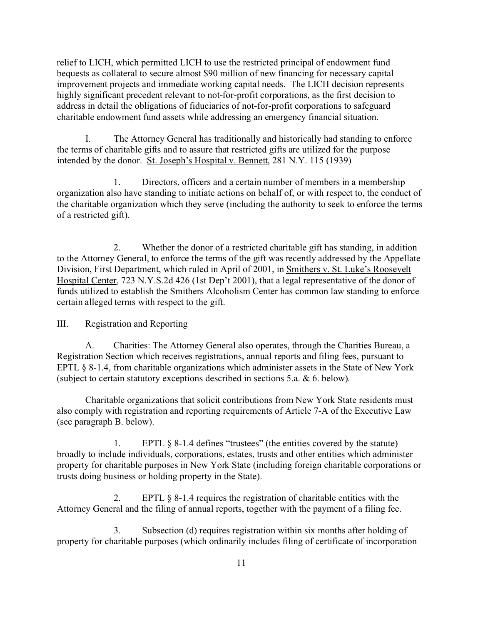relief to LICH, which permitted LICH to use the restricted principal of endowment fund bequests as collateral to secure almost \$90 million of new financing for necessary capital improvement projects and immediate working capital needs. The LICH decision represents highly significant precedent relevant to not-for-profit corporations, as the first decision to address in detail the obligations of fiduciaries of not-for-profit corporations to safeguard charitable endowment fund assets while addressing an emergency financial situation.

I. The Attorney General has traditionally and historically had standing to enforce the terms of charitable gifts and to assure that restricted gifts are utilized for the purpose intended by the donor. St. Joseph's Hospital v. Bennett, 281 N.Y. 115 (1939)

1. Directors, officers and a certain number of members in a membership organization also have standing to initiate actions on behalf of, or with respect to, the conduct of the charitable organization which they serve (including the authority to seek to enforce the terms of a restricted gift).

2. Whether the donor of a restricted charitable gift has standing, in addition to the Attorney General, to enforce the terms of the gift was recently addressed by the Appellate Division, First Department, which ruled in April of 2001, in Smithers v. St. Luke's Roosevelt Hospital Center, 723 N.Y.S.2d 426 (1st Dep't 2001), that a legal representative of the donor of funds utilized to establish the Smithers Alcoholism Center has common law standing to enforce certain alleged terms with respect to the gift.

III. Registration and Reporting

A. Charities: The Attorney General also operates, through the Charities Bureau, a Registration Section which receives registrations, annual reports and filing fees, pursuant to EPTL § 8-1.4, from charitable organizations which administer assets in the State of New York (subject to certain statutory exceptions described in sections 5.a. & 6. below).

Charitable organizations that solicit contributions from New York State residents must also comply with registration and reporting requirements of Article 7-A of the Executive Law (see paragraph B. below).

1. EPTL § 8-1.4 defines "trustees" (the entities covered by the statute) broadly to include individuals, corporations, estates, trusts and other entities which administer property for charitable purposes in New York State (including foreign charitable corporations or trusts doing business or holding property in the State).

2. EPTL § 8-1.4 requires the registration of charitable entities with the Attorney General and the filing of annual reports, together with the payment of a filing fee.

3. Subsection (d) requires registration within six months after holding of property for charitable purposes (which ordinarily includes filing of certificate of incorporation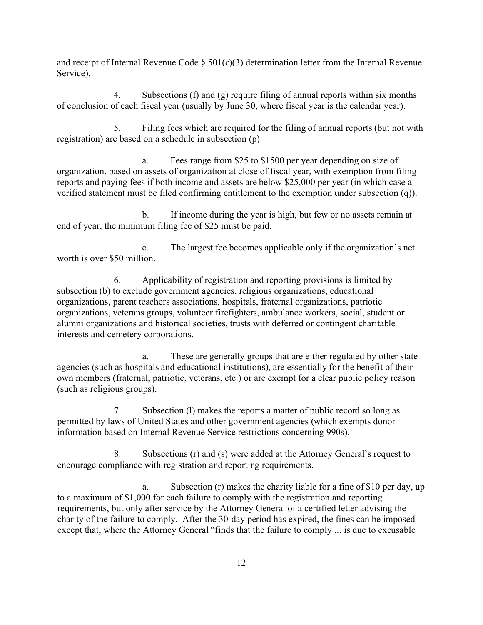and receipt of Internal Revenue Code  $\S$  501(c)(3) determination letter from the Internal Revenue Service).

4. Subsections (f) and (g) require filing of annual reports within six months of conclusion of each fiscal year (usually by June 30, where fiscal year is the calendar year).

5. Filing fees which are required for the filing of annual reports (but not with registration) are based on a schedule in subsection (p)

a. Fees range from \$25 to \$1500 per year depending on size of organization, based on assets of organization at close of fiscal year, with exemption from filing reports and paying fees if both income and assets are below \$25,000 per year (in which case a verified statement must be filed confirming entitlement to the exemption under subsection (q)).

b. If income during the year is high, but few or no assets remain at end of year, the minimum filing fee of \$25 must be paid.

c. The largest fee becomes applicable only if the organization's net worth is over \$50 million.

6. Applicability of registration and reporting provisions is limited by subsection (b) to exclude government agencies, religious organizations, educational organizations, parent teachers associations, hospitals, fraternal organizations, patriotic organizations, veterans groups, volunteer firefighters, ambulance workers, social, student or alumni organizations and historical societies, trusts with deferred or contingent charitable interests and cemetery corporations.

a. These are generally groups that are either regulated by other state agencies (such as hospitals and educational institutions), are essentially for the benefit of their own members (fraternal, patriotic, veterans, etc.) or are exempt for a clear public policy reason (such as religious groups).

7. Subsection (l) makes the reports a matter of public record so long as permitted by laws of United States and other government agencies (which exempts donor information based on Internal Revenue Service restrictions concerning 990s).

8. Subsections (r) and (s) were added at the Attorney General's request to encourage compliance with registration and reporting requirements.

a. Subsection (r) makes the charity liable for a fine of \$10 per day, up to a maximum of \$1,000 for each failure to comply with the registration and reporting requirements, but only after service by the Attorney General of a certified letter advising the charity of the failure to comply. After the 30-day period has expired, the fines can be imposed except that, where the Attorney General "finds that the failure to comply ... is due to excusable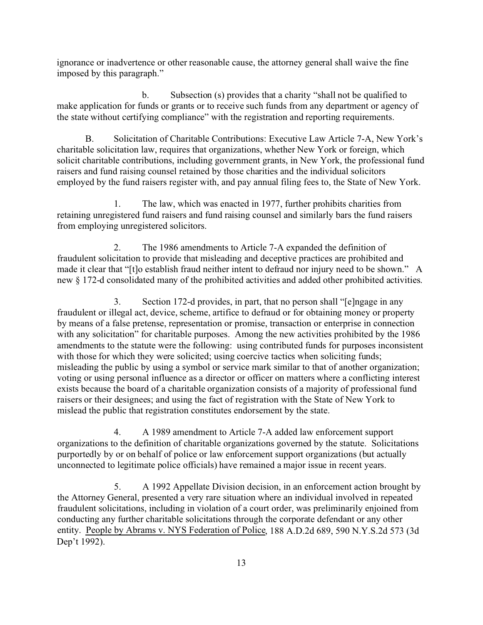ignorance or inadvertence or other reasonable cause, the attorney general shall waive the fine imposed by this paragraph."

b. Subsection (s) provides that a charity "shall not be qualified to make application for funds or grants or to receive such funds from any department or agency of the state without certifying compliance" with the registration and reporting requirements.

B. Solicitation of Charitable Contributions: Executive Law Article 7-A, New York's charitable solicitation law, requires that organizations, whether New York or foreign, which solicit charitable contributions, including government grants, in New York, the professional fund raisers and fund raising counsel retained by those charities and the individual solicitors employed by the fund raisers register with, and pay annual filing fees to, the State of New York.

1. The law, which was enacted in 1977, further prohibits charities from retaining unregistered fund raisers and fund raising counsel and similarly bars the fund raisers from employing unregistered solicitors.

2. The 1986 amendments to Article 7-A expanded the definition of fraudulent solicitation to provide that misleading and deceptive practices are prohibited and made it clear that "[t]o establish fraud neither intent to defraud nor injury need to be shown." A new § 172-d consolidated many of the prohibited activities and added other prohibited activities.

3. Section 172-d provides, in part, that no person shall "[e]ngage in any fraudulent or illegal act, device, scheme, artifice to defraud or for obtaining money or property by means of a false pretense, representation or promise, transaction or enterprise in connection with any solicitation" for charitable purposes. Among the new activities prohibited by the 1986 amendments to the statute were the following: using contributed funds for purposes inconsistent with those for which they were solicited; using coercive tactics when soliciting funds; misleading the public by using a symbol or service mark similar to that of another organization; voting or using personal influence as a director or officer on matters where a conflicting interest exists because the board of a charitable organization consists of a majority of professional fund raisers or their designees; and using the fact of registration with the State of New York to mislead the public that registration constitutes endorsement by the state.

4. A 1989 amendment to Article 7-A added law enforcement support organizations to the definition of charitable organizations governed by the statute. Solicitations purportedly by or on behalf of police or law enforcement support organizations (but actually unconnected to legitimate police officials) have remained a major issue in recent years.

5. A 1992 Appellate Division decision, in an enforcement action brought by the Attorney General, presented a very rare situation where an individual involved in repeated fraudulent solicitations, including in violation of a court order, was preliminarily enjoined from conducting any further charitable solicitations through the corporate defendant or any other entity. People by Abrams v. NYS Federation of Police, 188 A.D.2d 689, 590 N.Y.S.2d 573 (3d Dep't 1992).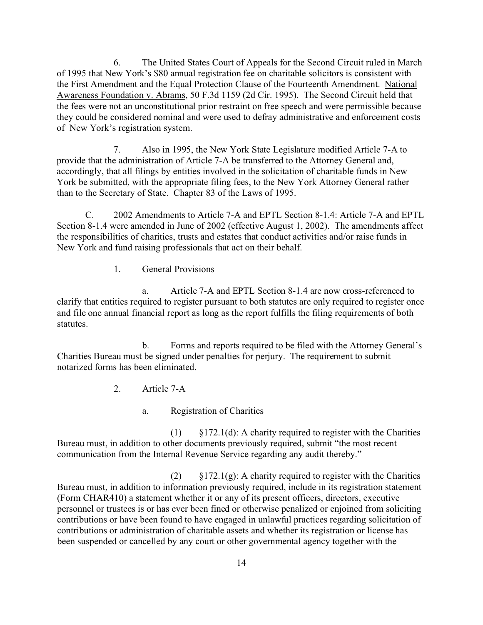6. The United States Court of Appeals for the Second Circuit ruled in March of 1995 that New York's \$80 annual registration fee on charitable solicitors is consistent with the First Amendment and the Equal Protection Clause of the Fourteenth Amendment. National Awareness Foundation v. Abrams, 50 F.3d 1159 (2d Cir. 1995). The Second Circuit held that the fees were not an unconstitutional prior restraint on free speech and were permissible because they could be considered nominal and were used to defray administrative and enforcement costs of New York's registration system.

7. Also in 1995, the New York State Legislature modified Article 7-A to provide that the administration of Article 7-A be transferred to the Attorney General and, accordingly, that all filings by entities involved in the solicitation of charitable funds in New York be submitted, with the appropriate filing fees, to the New York Attorney General rather than to the Secretary of State. Chapter 83 of the Laws of 1995.

C. 2002 Amendments to Article 7-A and EPTL Section 8-1.4: Article 7-A and EPTL Section 8-1.4 were amended in June of 2002 (effective August 1, 2002). The amendments affect the responsibilities of charities, trusts and estates that conduct activities and/or raise funds in New York and fund raising professionals that act on their behalf.

1. General Provisions

a. Article 7-A and EPTL Section 8-1.4 are now cross-referenced to clarify that entities required to register pursuant to both statutes are only required to register once and file one annual financial report as long as the report fulfills the filing requirements of both statutes.

b. Forms and reports required to be filed with the Attorney General's Charities Bureau must be signed under penalties for perjury. The requirement to submit notarized forms has been eliminated.

2. Article 7-A

a. Registration of Charities

 $(1)$  §172.1(d): A charity required to register with the Charities Bureau must, in addition to other documents previously required, submit "the most recent communication from the Internal Revenue Service regarding any audit thereby."

(2)  $\S 172.1(g)$ : A charity required to register with the Charities Bureau must, in addition to information previously required, include in its registration statement (Form CHAR410) a statement whether it or any of its present officers, directors, executive personnel or trustees is or has ever been fined or otherwise penalized or enjoined from soliciting contributions or have been found to have engaged in unlawful practices regarding solicitation of contributions or administration of charitable assets and whether its registration or license has been suspended or cancelled by any court or other governmental agency together with the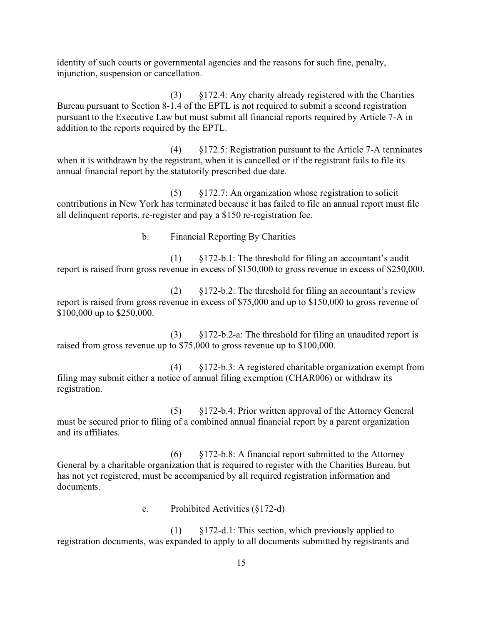identity of such courts or governmental agencies and the reasons for such fine, penalty, injunction, suspension or cancellation.

(3) §172.4: Any charity already registered with the Charities Bureau pursuant to Section 8-1.4 of the EPTL is not required to submit a second registration pursuant to the Executive Law but must submit all financial reports required by Article 7-A in addition to the reports required by the EPTL.

(4) §172.5: Registration pursuant to the Article 7-A terminates when it is withdrawn by the registrant, when it is cancelled or if the registrant fails to file its annual financial report by the statutorily prescribed due date.

(5) §172.7: An organization whose registration to solicit contributions in New York has terminated because it has failed to file an annual report must file all delinquent reports, re-register and pay a \$150 re-registration fee.

b. Financial Reporting By Charities

(1) §172-b.1: The threshold for filing an accountant's audit report is raised from gross revenue in excess of \$150,000 to gross revenue in excess of \$250,000.

(2) §172-b.2: The threshold for filing an accountant's review report is raised from gross revenue in excess of \$75,000 and up to \$150,000 to gross revenue of \$100,000 up to \$250,000.

(3) §172-b.2-a: The threshold for filing an unaudited report is raised from gross revenue up to \$75,000 to gross revenue up to \$100,000.

(4) §172-b.3: A registered charitable organization exempt from filing may submit either a notice of annual filing exemption (CHAR006) or withdraw its registration.

(5) §172-b.4: Prior written approval of the Attorney General must be secured prior to filing of a combined annual financial report by a parent organization and its affiliates.

(6) §172-b.8: A financial report submitted to the Attorney General by a charitable organization that is required to register with the Charities Bureau, but has not yet registered, must be accompanied by all required registration information and documents.

c. Prohibited Activities (§172-d)

(1) §172-d.1: This section, which previously applied to registration documents, was expanded to apply to all documents submitted by registrants and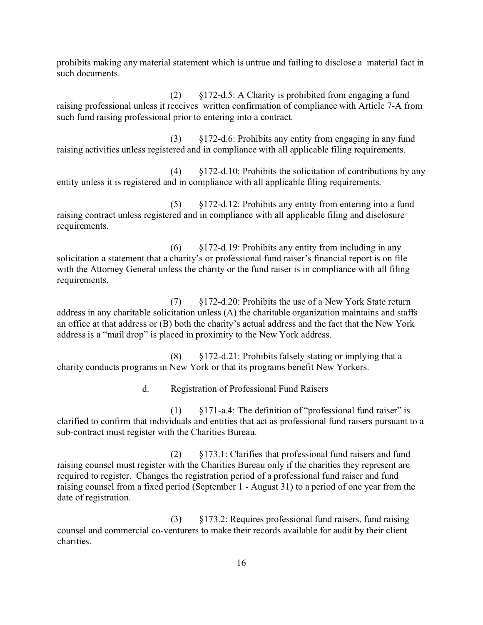prohibits making any material statement which is untrue and failing to disclose a material fact in such documents.

(2) §172-d.5: A Charity is prohibited from engaging a fund raising professional unless it receives written confirmation of compliance with Article 7-A from such fund raising professional prior to entering into a contract.

(3) §172-d.6: Prohibits any entity from engaging in any fund raising activities unless registered and in compliance with all applicable filing requirements.

(4) §172-d.10: Prohibits the solicitation of contributions by any entity unless it is registered and in compliance with all applicable filing requirements.

(5) §172-d.12: Prohibits any entity from entering into a fund raising contract unless registered and in compliance with all applicable filing and disclosure requirements.

(6) §172-d.19: Prohibits any entity from including in any solicitation a statement that a charity's or professional fund raiser's financial report is on file with the Attorney General unless the charity or the fund raiser is in compliance with all filing requirements.

(7) §172-d.20: Prohibits the use of a New York State return address in any charitable solicitation unless (A) the charitable organization maintains and staffs an office at that address or (B) both the charity's actual address and the fact that the New York address is a "mail drop" is placed in proximity to the New York address.

(8) §172-d.21: Prohibits falsely stating or implying that a charity conducts programs in New York or that its programs benefit New Yorkers.

d. Registration of Professional Fund Raisers

(1) §171-a.4: The definition of "professional fund raiser" is clarified to confirm that individuals and entities that act as professional fund raisers pursuant to a sub-contract must register with the Charities Bureau.

(2) §173.1: Clarifies that professional fund raisers and fund raising counsel must register with the Charities Bureau only if the charities they represent are required to register. Changes the registration period of a professional fund raiser and fund raising counsel from a fixed period (September 1 - August 31) to a period of one year from the date of registration.

(3) §173.2: Requires professional fund raisers, fund raising counsel and commercial co-venturers to make their records available for audit by their client charities.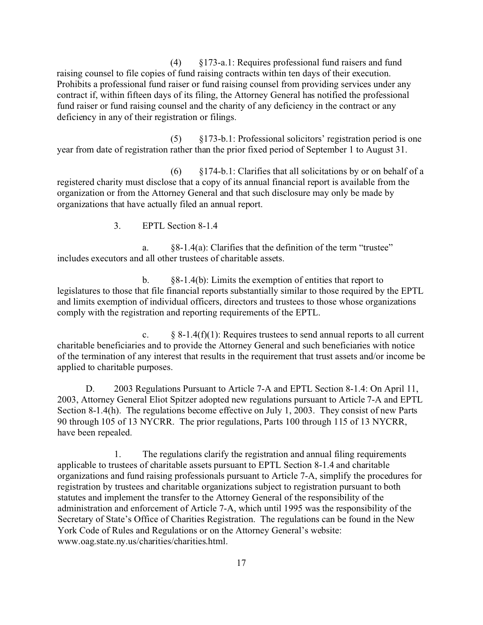(4) §173-a.1: Requires professional fund raisers and fund raising counsel to file copies of fund raising contracts within ten days of their execution. Prohibits a professional fund raiser or fund raising counsel from providing services under any contract if, within fifteen days of its filing, the Attorney General has notified the professional fund raiser or fund raising counsel and the charity of any deficiency in the contract or any deficiency in any of their registration or filings.

(5) §173-b.1: Professional solicitors' registration period is one year from date of registration rather than the prior fixed period of September 1 to August 31.

 $(6)$  §174-b.1: Clarifies that all solicitations by or on behalf of a registered charity must disclose that a copy of its annual financial report is available from the organization or from the Attorney General and that such disclosure may only be made by organizations that have actually filed an annual report.

3. EPTL Section 8-1.4

a. §8-1.4(a): Clarifies that the definition of the term "trustee" includes executors and all other trustees of charitable assets.

b. §8-1.4(b): Limits the exemption of entities that report to legislatures to those that file financial reports substantially similar to those required by the EPTL and limits exemption of individual officers, directors and trustees to those whose organizations comply with the registration and reporting requirements of the EPTL.

c.  $\S 8-1.4(f)(1)$ : Requires trustees to send annual reports to all current charitable beneficiaries and to provide the Attorney General and such beneficiaries with notice of the termination of any interest that results in the requirement that trust assets and/or income be applied to charitable purposes.

D. 2003 Regulations Pursuant to Article 7-A and EPTL Section 8-1.4: On April 11, 2003, Attorney General Eliot Spitzer adopted new regulations pursuant to Article 7-A and EPTL Section 8-1.4(h). The regulations become effective on July 1, 2003. They consist of new Parts 90 through 105 of 13 NYCRR. The prior regulations, Parts 100 through 115 of 13 NYCRR, have been repealed.

1. The regulations clarify the registration and annual filing requirements applicable to trustees of charitable assets pursuant to EPTL Section 8-1.4 and charitable organizations and fund raising professionals pursuant to Article 7-A, simplify the procedures for registration by trustees and charitable organizations subject to registration pursuant to both statutes and implement the transfer to the Attorney General of the responsibility of the administration and enforcement of Article 7-A, which until 1995 was the responsibility of the Secretary of State's Office of Charities Registration. The regulations can be found in the New York Code of Rules and Regulations or on the Attorney General's website: www.oag.state.ny.us/charities/charities.html.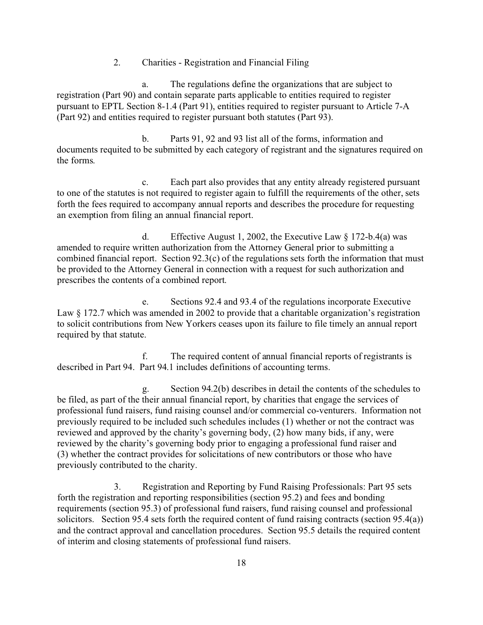2. Charities - Registration and Financial Filing

a. The regulations define the organizations that are subject to registration (Part 90) and contain separate parts applicable to entities required to register pursuant to EPTL Section 8-1.4 (Part 91), entities required to register pursuant to Article 7-A (Part 92) and entities required to register pursuant both statutes (Part 93).

b. Parts 91, 92 and 93 list all of the forms, information and documents requited to be submitted by each category of registrant and the signatures required on the forms.

c. Each part also provides that any entity already registered pursuant to one of the statutes is not required to register again to fulfill the requirements of the other, sets forth the fees required to accompany annual reports and describes the procedure for requesting an exemption from filing an annual financial report.

d. Effective August 1, 2002, the Executive Law  $\S 172-b.4(a)$  was amended to require written authorization from the Attorney General prior to submitting a combined financial report. Section 92.3(c) of the regulations sets forth the information that must be provided to the Attorney General in connection with a request for such authorization and prescribes the contents of a combined report.

e. Sections 92.4 and 93.4 of the regulations incorporate Executive Law § 172.7 which was amended in 2002 to provide that a charitable organization's registration to solicit contributions from New Yorkers ceases upon its failure to file timely an annual report required by that statute.

f. The required content of annual financial reports of registrants is described in Part 94. Part 94.1 includes definitions of accounting terms.

g. Section 94.2(b) describes in detail the contents of the schedules to be filed, as part of the their annual financial report, by charities that engage the services of professional fund raisers, fund raising counsel and/or commercial co-venturers. Information not previously required to be included such schedules includes (1) whether or not the contract was reviewed and approved by the charity's governing body, (2) how many bids, if any, were reviewed by the charity's governing body prior to engaging a professional fund raiser and (3) whether the contract provides for solicitations of new contributors or those who have previously contributed to the charity.

3. Registration and Reporting by Fund Raising Professionals: Part 95 sets forth the registration and reporting responsibilities (section 95.2) and fees and bonding requirements (section 95.3) of professional fund raisers, fund raising counsel and professional solicitors. Section 95.4 sets forth the required content of fund raising contracts (section 95.4(a)) and the contract approval and cancellation procedures. Section 95.5 details the required content of interim and closing statements of professional fund raisers.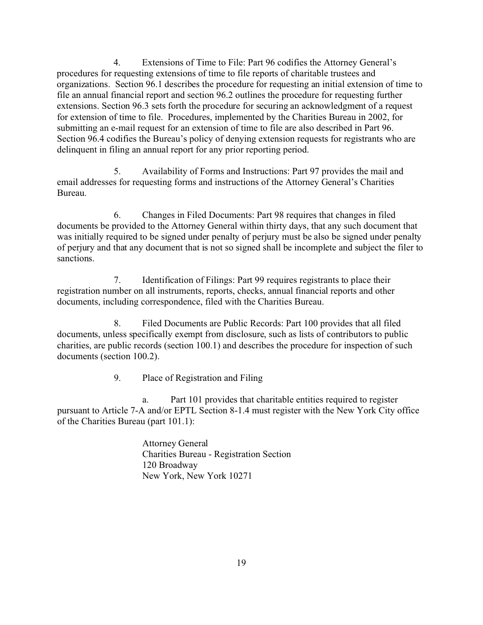4. Extensions of Time to File: Part 96 codifies the Attorney General's procedures for requesting extensions of time to file reports of charitable trustees and organizations. Section 96.1 describes the procedure for requesting an initial extension of time to file an annual financial report and section 96.2 outlines the procedure for requesting further extensions. Section 96.3 sets forth the procedure for securing an acknowledgment of a request for extension of time to file. Procedures, implemented by the Charities Bureau in 2002, for submitting an e-mail request for an extension of time to file are also described in Part 96. Section 96.4 codifies the Bureau's policy of denying extension requests for registrants who are delinquent in filing an annual report for any prior reporting period.

5. Availability of Forms and Instructions: Part 97 provides the mail and email addresses for requesting forms and instructions of the Attorney General's Charities Bureau.

6. Changes in Filed Documents: Part 98 requires that changes in filed documents be provided to the Attorney General within thirty days, that any such document that was initially required to be signed under penalty of perjury must be also be signed under penalty of perjury and that any document that is not so signed shall be incomplete and subject the filer to sanctions.

7. Identification of Filings: Part 99 requires registrants to place their registration number on all instruments, reports, checks, annual financial reports and other documents, including correspondence, filed with the Charities Bureau.

8. Filed Documents are Public Records: Part 100 provides that all filed documents, unless specifically exempt from disclosure, such as lists of contributors to public charities, are public records (section 100.1) and describes the procedure for inspection of such documents (section 100.2).

9. Place of Registration and Filing

a. Part 101 provides that charitable entities required to register pursuant to Article 7-A and/or EPTL Section 8-1.4 must register with the New York City office of the Charities Bureau (part 101.1):

> Attorney General Charities Bureau - Registration Section 120 Broadway New York, New York 10271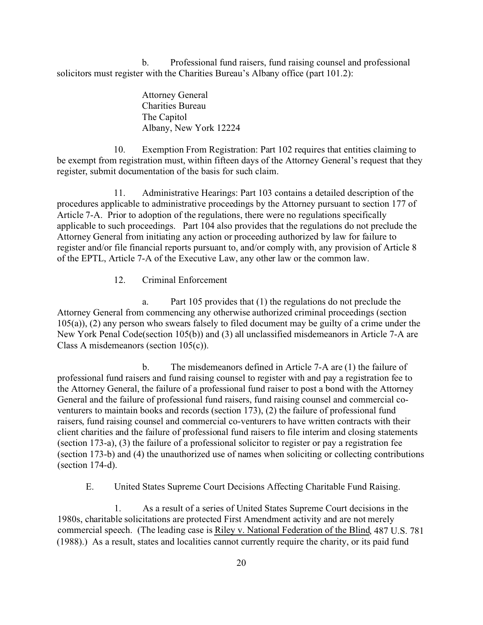b. Professional fund raisers, fund raising counsel and professional solicitors must register with the Charities Bureau's Albany office (part 101.2):

> Attorney General Charities Bureau The Capitol Albany, New York 12224

10. Exemption From Registration: Part 102 requires that entities claiming to be exempt from registration must, within fifteen days of the Attorney General's request that they register, submit documentation of the basis for such claim.

11. Administrative Hearings: Part 103 contains a detailed description of the procedures applicable to administrative proceedings by the Attorney pursuant to section 177 of Article 7-A. Prior to adoption of the regulations, there were no regulations specifically applicable to such proceedings. Part 104 also provides that the regulations do not preclude the Attorney General from initiating any action or proceeding authorized by law for failure to register and/or file financial reports pursuant to, and/or comply with, any provision of Article 8 of the EPTL, Article 7-A of the Executive Law, any other law or the common law.

12. Criminal Enforcement

a. Part 105 provides that (1) the regulations do not preclude the Attorney General from commencing any otherwise authorized criminal proceedings (section  $105(a)$ ,  $(2)$  any person who swears falsely to filed document may be guilty of a crime under the New York Penal Code(section 105(b)) and (3) all unclassified misdemeanors in Article 7-A are Class A misdemeanors (section 105(c)).

b. The misdemeanors defined in Article 7-A are (1) the failure of professional fund raisers and fund raising counsel to register with and pay a registration fee to the Attorney General, the failure of a professional fund raiser to post a bond with the Attorney General and the failure of professional fund raisers, fund raising counsel and commercial coventurers to maintain books and records (section 173), (2) the failure of professional fund raisers, fund raising counsel and commercial co-venturers to have written contracts with their client charities and the failure of professional fund raisers to file interim and closing statements (section 173-a), (3) the failure of a professional solicitor to register or pay a registration fee (section 173-b) and (4) the unauthorized use of names when soliciting or collecting contributions (section 174-d).

E. United States Supreme Court Decisions Affecting Charitable Fund Raising.

1. As a result of a series of United States Supreme Court decisions in the 1980s, charitable solicitations are protected First Amendment activity and are not merely commercial speech. (The leading case is Riley v. National Federation of the Blind, 487 U.S. 781 (1988).) As a result, states and localities cannot currently require the charity, or its paid fund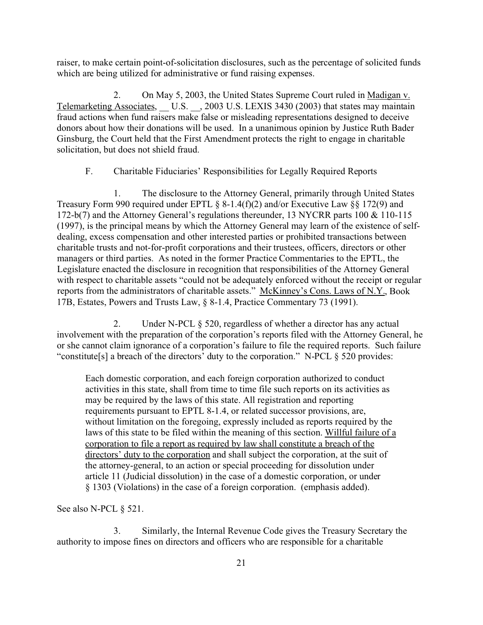raiser, to make certain point-of-solicitation disclosures, such as the percentage of solicited funds which are being utilized for administrative or fund raising expenses.

2. On May 5, 2003, the United States Supreme Court ruled in Madigan v. Telemarketing Associates, U.S. , 2003 U.S. LEXIS 3430 (2003) that states may maintain fraud actions when fund raisers make false or misleading representations designed to deceive donors about how their donations will be used. In a unanimous opinion by Justice Ruth Bader Ginsburg, the Court held that the First Amendment protects the right to engage in charitable solicitation, but does not shield fraud.

## F. Charitable Fiduciaries' Responsibilities for Legally Required Reports

1. The disclosure to the Attorney General, primarily through United States Treasury Form 990 required under EPTL § 8-1.4(f)(2) and/or Executive Law §§ 172(9) and 172-b(7) and the Attorney General's regulations thereunder, 13 NYCRR parts 100 & 110-115 (1997), is the principal means by which the Attorney General may learn of the existence of selfdealing, excess compensation and other interested parties or prohibited transactions between charitable trusts and not-for-profit corporations and their trustees, officers, directors or other managers or third parties. As noted in the former Practice Commentaries to the EPTL, the Legislature enacted the disclosure in recognition that responsibilities of the Attorney General with respect to charitable assets "could not be adequately enforced without the receipt or regular reports from the administrators of charitable assets." McKinney's Cons. Laws of N.Y., Book 17B, Estates, Powers and Trusts Law, § 8-1.4, Practice Commentary 73 (1991).

2. Under N-PCL § 520, regardless of whether a director has any actual involvement with the preparation of the corporation's reports filed with the Attorney General, he or she cannot claim ignorance of a corporation's failure to file the required reports. Such failure "constitute[s] a breach of the directors' duty to the corporation." N-PCL § 520 provides:

Each domestic corporation, and each foreign corporation authorized to conduct activities in this state, shall from time to time file such reports on its activities as may be required by the laws of this state. All registration and reporting requirements pursuant to EPTL 8-1.4, or related successor provisions, are, without limitation on the foregoing, expressly included as reports required by the laws of this state to be filed within the meaning of this section. Willful failure of a corporation to file a report as required by law shall constitute a breach of the directors' duty to the corporation and shall subject the corporation, at the suit of the attorney-general, to an action or special proceeding for dissolution under article 11 (Judicial dissolution) in the case of a domestic corporation, or under § 1303 (Violations) in the case of a foreign corporation. (emphasis added).

See also N-PCL  $\S$  521.

3. Similarly, the Internal Revenue Code gives the Treasury Secretary the authority to impose fines on directors and officers who are responsible for a charitable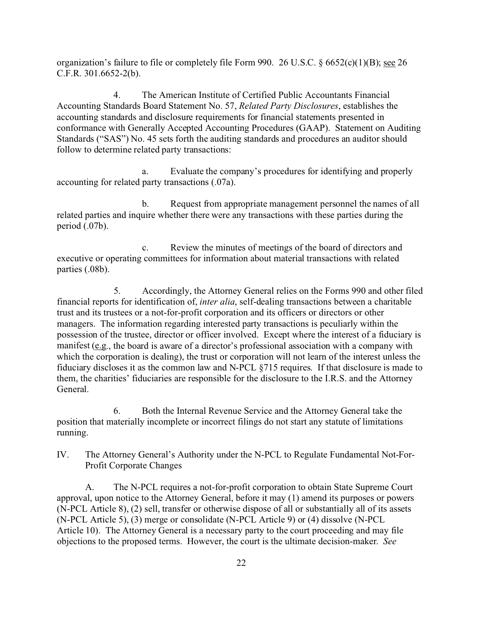organization's failure to file or completely file Form 990. 26 U.S.C.  $\S 6652(c)(1)(B)$ ; see 26 C.F.R. 301.6652-2(b).

4. The American Institute of Certified Public Accountants Financial Accounting Standards Board Statement No. 57, *Related Party Disclosures*, establishes the accounting standards and disclosure requirements for financial statements presented in conformance with Generally Accepted Accounting Procedures (GAAP). Statement on Auditing Standards ("SAS") No. 45 sets forth the auditing standards and procedures an auditor should follow to determine related party transactions:

a. Evaluate the company's procedures for identifying and properly accounting for related party transactions (.07a).

b. Request from appropriate management personnel the names of all related parties and inquire whether there were any transactions with these parties during the period (.07b).

c. Review the minutes of meetings of the board of directors and executive or operating committees for information about material transactions with related parties (.08b).

5. Accordingly, the Attorney General relies on the Forms 990 and other filed financial reports for identification of, *inter alia*, self-dealing transactions between a charitable trust and its trustees or a not-for-profit corporation and its officers or directors or other managers. The information regarding interested party transactions is peculiarly within the possession of the trustee, director or officer involved. Except where the interest of a fiduciary is manifest (e.g., the board is aware of a director's professional association with a company with which the corporation is dealing), the trust or corporation will not learn of the interest unless the fiduciary discloses it as the common law and N-PCL §715 requires. If that disclosure is made to them, the charities' fiduciaries are responsible for the disclosure to the I.R.S. and the Attorney General.

6. Both the Internal Revenue Service and the Attorney General take the position that materially incomplete or incorrect filings do not start any statute of limitations running.

IV. The Attorney General's Authority under the N-PCL to Regulate Fundamental Not-For-Profit Corporate Changes

A. The N-PCL requires a not-for-profit corporation to obtain State Supreme Court approval, upon notice to the Attorney General, before it may (1) amend its purposes or powers (N-PCL Article 8), (2) sell, transfer or otherwise dispose of all or substantially all of its assets (N-PCL Article 5), (3) merge or consolidate (N-PCL Article 9) or (4) dissolve (N-PCL Article 10). The Attorney General is a necessary party to the court proceeding and may file objections to the proposed terms. However, the court is the ultimate decision-maker. *See*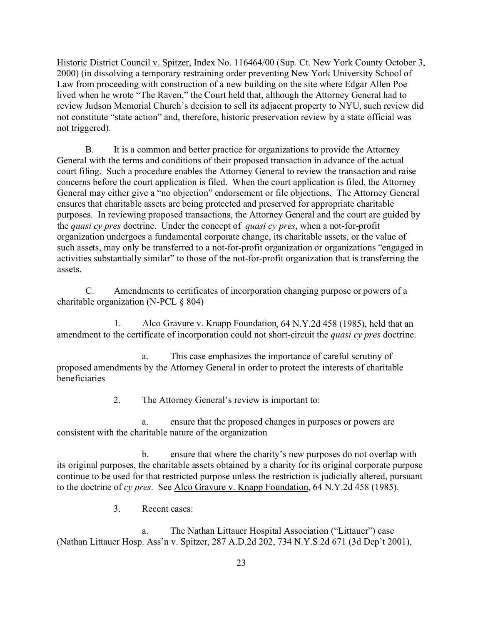Historic District Council v. Spitzer, Index No. 116464/00 (Sup. Ct. New York County October 3, 2000) (in dissolving a temporary restraining order preventing New York University School of Law from proceeding with construction of a new building on the site where Edgar Allen Poe lived when he wrote "The Raven," the Court held that, although the Attorney General had to review Judson Memorial Church's decision to sell its adjacent property to NYU, such review did not constitute "state action" and, therefore, historic preservation review by a state official was not triggered).

B. It is a common and better practice for organizations to provide the Attorney General with the terms and conditions of their proposed transaction in advance of the actual court filing. Such a procedure enables the Attorney General to review the transaction and raise concerns before the court application is filed. When the court application is filed, the Attorney General may either give a "no objection" endorsement or file objections. The Attorney General ensures that charitable assets are being protected and preserved for appropriate charitable purposes. In reviewing proposed transactions, the Attorney General and the court are guided by the *quasi cy pres* doctrine. Under the concept of *quasi cy pres*, when a not-for-profit organization undergoes a fundamental corporate change, its charitable assets, or the value of such assets, may only be transferred to a not-for-profit organization or organizations "engaged in activities substantially similar" to those of the not-for-profit organization that is transferring the assets.

C. Amendments to certificates of incorporation changing purpose or powers of a charitable organization (N-PCL § 804)

1. Alco Gravure v. Knapp Foundation, 64 N.Y.2d 458 (1985), held that an amendment to the certificate of incorporation could not short-circuit the *quasi cy pres* doctrine.

a. This case emphasizes the importance of careful scrutiny of proposed amendments by the Attorney General in order to protect the interests of charitable beneficiaries

2. The Attorney General's review is important to:

a. ensure that the proposed changes in purposes or powers are consistent with the charitable nature of the organization

b. ensure that where the charity's new purposes do not overlap with its original purposes, the charitable assets obtained by a charity for its original corporate purpose continue to be used for that restricted purpose unless the restriction is judicially altered, pursuant to the doctrine of *cy pres*. See Alco Gravure v. Knapp Foundation, 64 N.Y.2d 458 (1985).

3. Recent cases:

a. The Nathan Littauer Hospital Association ("Littauer") case (Nathan Littauer Hosp. Ass'n v. Spitzer, 287 A.D.2d 202, 734 N.Y.S.2d 671 (3d Dep't 2001),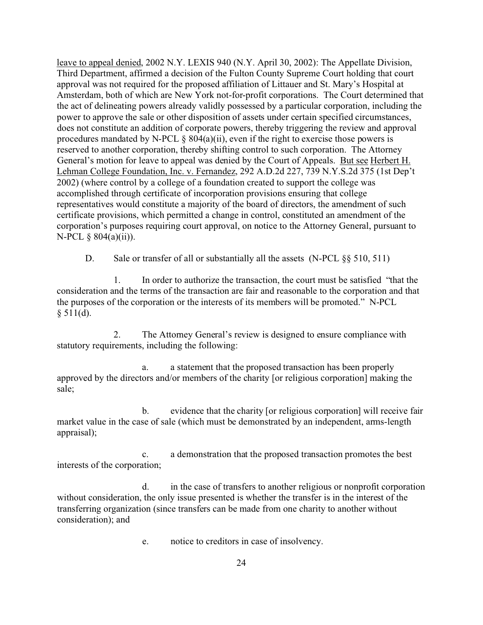leave to appeal denied, 2002 N.Y. LEXIS 940 (N.Y. April 30, 2002): The Appellate Division, Third Department, affirmed a decision of the Fulton County Supreme Court holding that court approval was not required for the proposed affiliation of Littauer and St. Mary's Hospital at Amsterdam, both of which are New York not-for-profit corporations. The Court determined that the act of delineating powers already validly possessed by a particular corporation, including the power to approve the sale or other disposition of assets under certain specified circumstances, does not constitute an addition of corporate powers, thereby triggering the review and approval procedures mandated by N-PCL § 804(a)(ii), even if the right to exercise those powers is reserved to another corporation, thereby shifting control to such corporation. The Attorney General's motion for leave to appeal was denied by the Court of Appeals. But see Herbert H. Lehman College Foundation, Inc. v. Fernandez, 292 A.D.2d 227, 739 N.Y.S.2d 375 (1st Dep't 2002) (where control by a college of a foundation created to support the college was accomplished through certificate of incorporation provisions ensuring that college representatives would constitute a majority of the board of directors, the amendment of such certificate provisions, which permitted a change in control, constituted an amendment of the corporation's purposes requiring court approval, on notice to the Attorney General, pursuant to N-PCL § 804(a)(ii)).

D. Sale or transfer of all or substantially all the assets (N-PCL §§ 510, 511)

1. In order to authorize the transaction, the court must be satisfied "that the consideration and the terms of the transaction are fair and reasonable to the corporation and that the purposes of the corporation or the interests of its members will be promoted." N-PCL  $§ 511(d).$ 

2. The Attorney General's review is designed to ensure compliance with statutory requirements, including the following:

a. a statement that the proposed transaction has been properly approved by the directors and/or members of the charity [or religious corporation] making the sale;

b. evidence that the charity [or religious corporation] will receive fair market value in the case of sale (which must be demonstrated by an independent, arms-length appraisal);

c. a demonstration that the proposed transaction promotes the best interests of the corporation;

d. in the case of transfers to another religious or nonprofit corporation without consideration, the only issue presented is whether the transfer is in the interest of the transferring organization (since transfers can be made from one charity to another without consideration); and

e. notice to creditors in case of insolvency.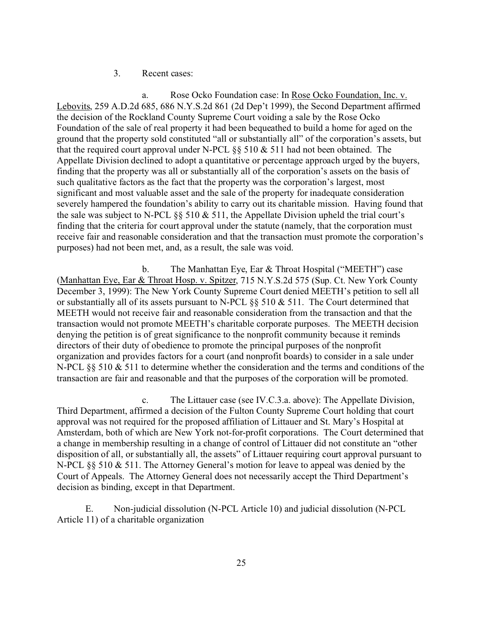## 3. Recent cases:

a. Rose Ocko Foundation case: In Rose Ocko Foundation, Inc. v. Lebovits, 259 A.D.2d 685, 686 N.Y.S.2d 861 (2d Dep't 1999), the Second Department affirmed the decision of the Rockland County Supreme Court voiding a sale by the Rose Ocko Foundation of the sale of real property it had been bequeathed to build a home for aged on the ground that the property sold constituted "all or substantially all" of the corporation's assets, but that the required court approval under N-PCL  $\S$ § 510  $\&$  511 had not been obtained. The Appellate Division declined to adopt a quantitative or percentage approach urged by the buyers, finding that the property was all or substantially all of the corporation's assets on the basis of such qualitative factors as the fact that the property was the corporation's largest, most significant and most valuable asset and the sale of the property for inadequate consideration severely hampered the foundation's ability to carry out its charitable mission. Having found that the sale was subject to N-PCL  $\S$ § 510 & 511, the Appellate Division upheld the trial court's finding that the criteria for court approval under the statute (namely, that the corporation must receive fair and reasonable consideration and that the transaction must promote the corporation's purposes) had not been met, and, as a result, the sale was void.

b. The Manhattan Eye, Ear & Throat Hospital ("MEETH") case (Manhattan Eye, Ear & Throat Hosp. v. Spitzer, 715 N.Y.S.2d 575 (Sup. Ct. New York County December 3, 1999): The New York County Supreme Court denied MEETH's petition to sell all or substantially all of its assets pursuant to N-PCL §§ 510 & 511. The Court determined that MEETH would not receive fair and reasonable consideration from the transaction and that the transaction would not promote MEETH's charitable corporate purposes. The MEETH decision denying the petition is of great significance to the nonprofit community because it reminds directors of their duty of obedience to promote the principal purposes of the nonprofit organization and provides factors for a court (and nonprofit boards) to consider in a sale under N-PCL §§ 510 & 511 to determine whether the consideration and the terms and conditions of the transaction are fair and reasonable and that the purposes of the corporation will be promoted.

c. The Littauer case (see IV.C.3.a. above): The Appellate Division, Third Department, affirmed a decision of the Fulton County Supreme Court holding that court approval was not required for the proposed affiliation of Littauer and St. Mary's Hospital at Amsterdam, both of which are New York not-for-profit corporations. The Court determined that a change in membership resulting in a change of control of Littauer did not constitute an "other disposition of all, or substantially all, the assets" of Littauer requiring court approval pursuant to N-PCL §§ 510 & 511. The Attorney General's motion for leave to appeal was denied by the Court of Appeals. The Attorney General does not necessarily accept the Third Department's decision as binding, except in that Department.

E. Non-judicial dissolution (N-PCL Article 10) and judicial dissolution (N-PCL Article 11) of a charitable organization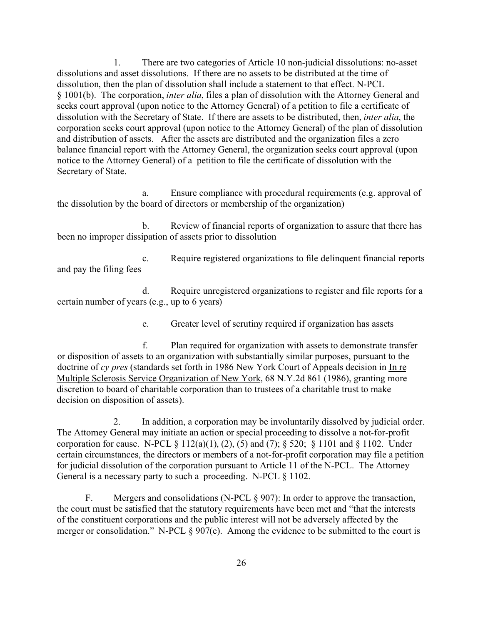1. There are two categories of Article 10 non-judicial dissolutions: no-asset dissolutions and asset dissolutions. If there are no assets to be distributed at the time of dissolution, then the plan of dissolution shall include a statement to that effect. N-PCL § 1001(b). The corporation, *inter alia*, files a plan of dissolution with the Attorney General and seeks court approval (upon notice to the Attorney General) of a petition to file a certificate of dissolution with the Secretary of State. If there are assets to be distributed, then, *inter alia*, the corporation seeks court approval (upon notice to the Attorney General) of the plan of dissolution and distribution of assets. After the assets are distributed and the organization files a zero balance financial report with the Attorney General, the organization seeks court approval (upon notice to the Attorney General) of a petition to file the certificate of dissolution with the Secretary of State.

a. Ensure compliance with procedural requirements (e.g. approval of the dissolution by the board of directors or membership of the organization)

b. Review of financial reports of organization to assure that there has been no improper dissipation of assets prior to dissolution

c. Require registered organizations to file delinquent financial reports and pay the filing fees

d. Require unregistered organizations to register and file reports for a certain number of years (e.g., up to 6 years)

e. Greater level of scrutiny required if organization has assets

f. Plan required for organization with assets to demonstrate transfer or disposition of assets to an organization with substantially similar purposes, pursuant to the doctrine of *cy pres* (standards set forth in 1986 New York Court of Appeals decision in In re Multiple Sclerosis Service Organization of New York, 68 N.Y.2d 861 (1986), granting more discretion to board of charitable corporation than to trustees of a charitable trust to make decision on disposition of assets).

2. In addition, a corporation may be involuntarily dissolved by judicial order. The Attorney General may initiate an action or special proceeding to dissolve a not-for-profit corporation for cause. N-PCL  $\S 112(a)(1)$ ,  $(2)$ ,  $(5)$  and  $(7)$ ;  $\S 520$ ;  $\S 1101$  and  $\S 1102$ . Under certain circumstances, the directors or members of a not-for-profit corporation may file a petition for judicial dissolution of the corporation pursuant to Article 11 of the N-PCL. The Attorney General is a necessary party to such a proceeding. N-PCL § 1102.

F. Mergers and consolidations (N-PCL § 907): In order to approve the transaction, the court must be satisfied that the statutory requirements have been met and "that the interests of the constituent corporations and the public interest will not be adversely affected by the merger or consolidation." N-PCL § 907(e). Among the evidence to be submitted to the court is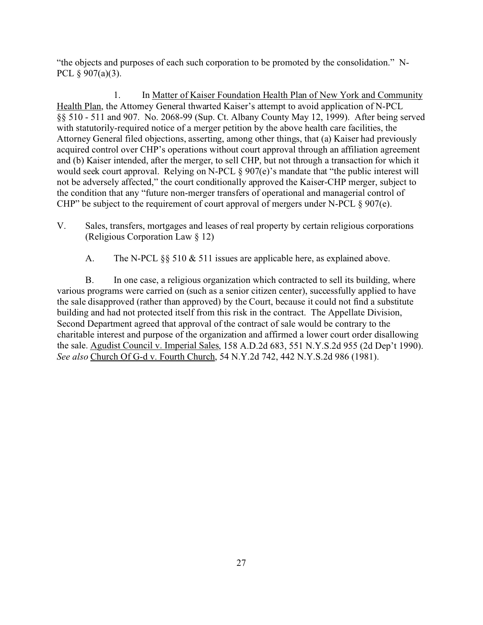"the objects and purposes of each such corporation to be promoted by the consolidation." N-PCL § 907(a)(3).

1. In Matter of Kaiser Foundation Health Plan of New York and Community Health Plan, the Attorney General thwarted Kaiser's attempt to avoid application of N-PCL §§ 510 - 511 and 907. No. 2068-99 (Sup. Ct. Albany County May 12, 1999). After being served with statutorily-required notice of a merger petition by the above health care facilities, the Attorney General filed objections, asserting, among other things, that (a) Kaiser had previously acquired control over CHP's operations without court approval through an affiliation agreement and (b) Kaiser intended, after the merger, to sell CHP, but not through a transaction for which it would seek court approval. Relying on N-PCL § 907(e)'s mandate that "the public interest will not be adversely affected," the court conditionally approved the Kaiser-CHP merger, subject to the condition that any "future non-merger transfers of operational and managerial control of CHP" be subject to the requirement of court approval of mergers under N-PCL § 907(e).

- V. Sales, transfers, mortgages and leases of real property by certain religious corporations (Religious Corporation Law § 12)
	- A. The N-PCL §§ 510 & 511 issues are applicable here, as explained above.

B. In one case, a religious organization which contracted to sell its building, where various programs were carried on (such as a senior citizen center), successfully applied to have the sale disapproved (rather than approved) by the Court, because it could not find a substitute building and had not protected itself from this risk in the contract. The Appellate Division, Second Department agreed that approval of the contract of sale would be contrary to the charitable interest and purpose of the organization and affirmed a lower court order disallowing the sale. Agudist Council v. Imperial Sales, 158 A.D.2d 683, 551 N.Y.S.2d 955 (2d Dep't 1990). *See also* Church Of G-d v. Fourth Church, 54 N.Y.2d 742, 442 N.Y.S.2d 986 (1981).